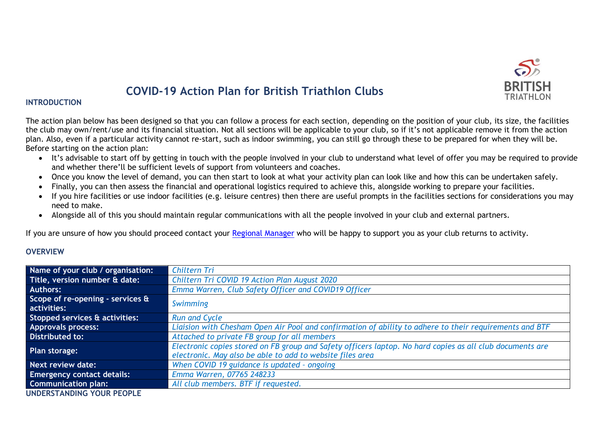

# **COVID-19 Action Plan for British Triathlon Clubs**

#### **INTRODUCTION**

The action plan below has been designed so that you can follow a process for each section, depending on the position of your club, its size, the facilities the club may own/rent/use and its financial situation. Not all sections will be applicable to your club, so if it's not applicable remove it from the action plan. Also, even if a particular activity cannot re-start, such as indoor swimming, you can still go through these to be prepared for when they will be. Before starting on the action plan:

- It's advisable to start off by getting in touch with the people involved in your club to understand what level of offer you may be required to provide and whether there'll be sufficient levels of support from volunteers and coaches.
- Once you know the level of demand, you can then start to look at what your activity plan can look like and how this can be undertaken safely.
- Finally, you can then assess the financial and operational logistics required to achieve this, alongside working to prepare your facilities.
- If you hire facilities or use indoor facilities (e.g. leisure centres) then there are useful prompts in the facilities sections for considerations you may need to make.
- Alongside all of this you should maintain regular communications with all the people involved in your club and external partners.

If you are unsure of how you should proceed contact your [Regional Manager](about:blank) who will be happy to support you as your club returns to activity.

#### **OVERVIEW**

| Name of your club / organisation: | Chiltern Tri                                                                                              |
|-----------------------------------|-----------------------------------------------------------------------------------------------------------|
| Title, version number & date:     | Chiltern Tri COVID 19 Action Plan August 2020                                                             |
| <b>Authors:</b>                   | Emma Warren, Club Safety Officer and COVID19 Officer                                                      |
| Scope of re-opening - services &  | Swimming                                                                                                  |
| activities:                       |                                                                                                           |
| Stopped services & activities:    | <b>Run and Cycle</b>                                                                                      |
| <b>Approvals process:</b>         | Liaision with Chesham Open Air Pool and confirmation of ability to adhere to their requirements and BTF   |
| Distributed to:                   | Attached to private FB group for all members                                                              |
| Plan storage:                     | Electronic copies stored on FB group and Safety officers laptop. No hard copies as all club documents are |
|                                   | electronic. May also be able to add to website files area                                                 |
| Next review date:                 | When COVID 19 guidance is updated - ongoing                                                               |
| <b>Emergency contact details:</b> | Emma Warren, 07765 248233                                                                                 |
| <b>Communication plan:</b>        | All club members. BTF if requested.                                                                       |
| <b>UNDERSTANDING YOUR PEOPLE</b>  |                                                                                                           |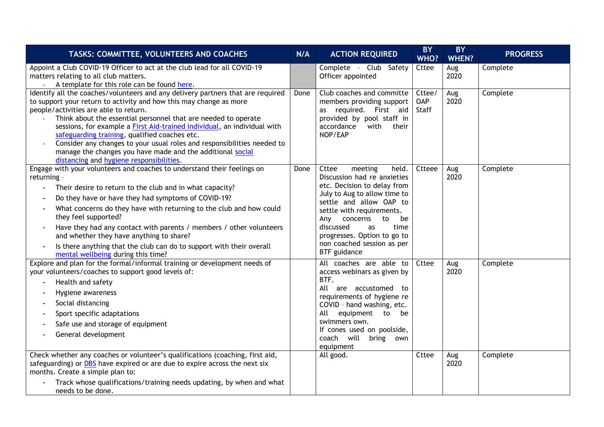| TASKS: COMMITTEE, VOLUNTEERS AND COACHES                                                                                                                                                                                                                                                                                                                                                                                                                                                                                                                                                                       | N/A  | <b>ACTION REQUIRED</b>                                                                                                                                                                                                                                                                                                     | <b>BY</b><br>WHO?             | <b>BY</b><br><b>WHEN?</b> | <b>PROGRESS</b> |
|----------------------------------------------------------------------------------------------------------------------------------------------------------------------------------------------------------------------------------------------------------------------------------------------------------------------------------------------------------------------------------------------------------------------------------------------------------------------------------------------------------------------------------------------------------------------------------------------------------------|------|----------------------------------------------------------------------------------------------------------------------------------------------------------------------------------------------------------------------------------------------------------------------------------------------------------------------------|-------------------------------|---------------------------|-----------------|
| Appoint a Club COVID-19 Officer to act at the club lead for all COVID-19<br>matters relating to all club matters.<br>A template for this role can be found here.                                                                                                                                                                                                                                                                                                                                                                                                                                               |      | Complete - Club Safety<br>Officer appointed                                                                                                                                                                                                                                                                                | Cttee                         | Aug<br>2020               | Complete        |
| Identify all the coaches/volunteers and any delivery partners that are required<br>to support your return to activity and how this may change as more<br>people/activities are able to return.<br>Think about the essential personnel that are needed to operate<br>$\overline{\phantom{a}}$<br>sessions, for example a First Aid-trained individual, an individual with<br>safeguarding training, qualified coaches etc.<br>Consider any changes to your usual roles and responsibilities needed to<br>manage the changes you have made and the additional social<br>distancing and hygiene responsibilities. | Done | Club coaches and committe<br>members providing support<br>as required. First aid<br>provided by pool staff in<br>with<br>accordance<br>their<br>NOP/EAP                                                                                                                                                                    | Cttee/<br><b>OAP</b><br>Staff | Aug<br>2020               | Complete        |
| Engage with your volunteers and coaches to understand their feelings on<br>returning -<br>Their desire to return to the club and in what capacity?<br>Do they have or have they had symptoms of COVID-19?<br>What concerns do they have with returning to the club and how could<br>they feel supported?<br>Have they had any contact with parents / members / other volunteers<br>and whether they have anything to share?<br>Is there anything that the club can do to support with their overall<br>mental wellbeing during this time?                                                                      | Done | Cttee<br>held.<br>meeting<br>Discussion had re anxieties<br>etc. Decision to delay from<br>July to Aug to allow time to<br>settle and allow OAP to<br>settle with requirements.<br>Any concerns<br>to<br>be<br>discussed<br>time<br>as<br>progresses. Option to go to<br>non coached session as per<br><b>BTF</b> guidance | Ctteee                        | Aug<br>2020               | Complete        |
| Explore and plan for the formal/informal training or development needs of<br>your volunteers/coaches to support good levels of:<br>Health and safety<br>Hygiene awareness<br>Social distancing<br>$\overline{\phantom{a}}$<br>Sport specific adaptations<br>Safe use and storage of equipment<br>General development                                                                                                                                                                                                                                                                                           |      | All coaches are able to<br>access webinars as given by<br>BTF.<br>All are accustomed to<br>requirements of hygiene re<br>COVID - hand washing, etc.<br>All<br>equipment to<br>be<br>swimmers own.<br>If cones used on poolside,<br>coach will bring own<br>equipment                                                       | Cttee                         | Aug<br>2020               | Complete        |
| Check whether any coaches or volunteer's qualifications (coaching, first aid,<br>safeguarding) or <b>DBS</b> have expired or are due to expire across the next six<br>months. Create a simple plan to:<br>Track whose qualifications/training needs updating, by when and what<br>needs to be done.                                                                                                                                                                                                                                                                                                            |      | All good.                                                                                                                                                                                                                                                                                                                  | Cttee                         | Aug<br>2020               | Complete        |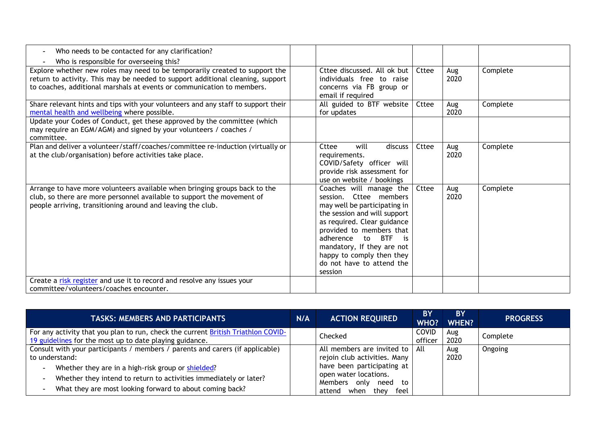| Who needs to be contacted for any clarification?<br>$\overline{\phantom{a}}$                                                                                                                                                                                                       |                                                                                                                                                                                                                                                                                                                            |       |             |          |
|------------------------------------------------------------------------------------------------------------------------------------------------------------------------------------------------------------------------------------------------------------------------------------|----------------------------------------------------------------------------------------------------------------------------------------------------------------------------------------------------------------------------------------------------------------------------------------------------------------------------|-------|-------------|----------|
| Who is responsible for overseeing this?<br>Explore whether new roles may need to be temporarily created to support the<br>return to activity. This may be needed to support additional cleaning, support<br>to coaches, additional marshals at events or communication to members. | Cttee discussed. All ok but<br>individuals free to raise<br>concerns via FB group or<br>email if required                                                                                                                                                                                                                  | Cttee | Aug<br>2020 | Complete |
| Share relevant hints and tips with your volunteers and any staff to support their<br>mental health and wellbeing where possible.                                                                                                                                                   | All guided to BTF website<br>for updates                                                                                                                                                                                                                                                                                   | Cttee | Aug<br>2020 | Complete |
| Update your Codes of Conduct, get these approved by the committee (which<br>may require an EGM/AGM) and signed by your volunteers / coaches /<br>committee.                                                                                                                        |                                                                                                                                                                                                                                                                                                                            |       |             |          |
| Plan and deliver a volunteer/staff/coaches/committee re-induction (virtually or<br>at the club/organisation) before activities take place.                                                                                                                                         | will<br>discuss<br>Cttee<br>requirements.<br>COVID/Safety officer will<br>provide risk assessment for<br>use on website / bookings                                                                                                                                                                                         | Cttee | Aug<br>2020 | Complete |
| Arrange to have more volunteers available when bringing groups back to the<br>club, so there are more personnel available to support the movement of<br>people arriving, transitioning around and leaving the club.                                                                | Coaches will manage the<br>session. Cttee members<br>may well be participating in<br>the session and will support<br>as required. Clear guidance<br>provided to members that<br>adherence<br>to<br><b>BTF</b><br>$-$ is<br>mandatory, If they are not<br>happy to comply then they<br>do not have to attend the<br>session | Cttee | Aug<br>2020 | Complete |
| Create a risk register and use it to record and resolve any issues your<br>committee/volunteers/coaches encounter.                                                                                                                                                                 |                                                                                                                                                                                                                                                                                                                            |       |             |          |

| <b>TASKS: MEMBERS AND PARTICIPANTS</b>                                                                                                                                                                                                                                                                                                                           | N/A | <b>ACTION REQUIRED</b>                                                                                                                                                               | <b>BY</b><br><b>WHO?</b> | <b>BY</b><br><b>WHEN?</b> | <b>PROGRESS</b> |
|------------------------------------------------------------------------------------------------------------------------------------------------------------------------------------------------------------------------------------------------------------------------------------------------------------------------------------------------------------------|-----|--------------------------------------------------------------------------------------------------------------------------------------------------------------------------------------|--------------------------|---------------------------|-----------------|
| For any activity that you plan to run, check the current British Triathlon COVID-<br>19 guidelines for the most up to date playing guidance.                                                                                                                                                                                                                     |     | Checked                                                                                                                                                                              | <b>COVID</b><br>officer  | Aug<br>2020               | Complete        |
| Consult with your participants / members / parents and carers (if applicable)<br>to understand:<br>Whether they are in a high-risk group or shielded?<br>$\overline{\phantom{a}}$<br>Whether they intend to return to activities immediately or later?<br>$\overline{\phantom{a}}$<br>What they are most looking forward to about coming back?<br>$\blacksquare$ |     | All members are invited to   All<br>rejoin club activities. Many<br>have been participating at<br>open water locations.<br>Members only<br>need to<br>attend<br>feel<br>thev<br>when |                          | Aug<br>2020               | Ongoing         |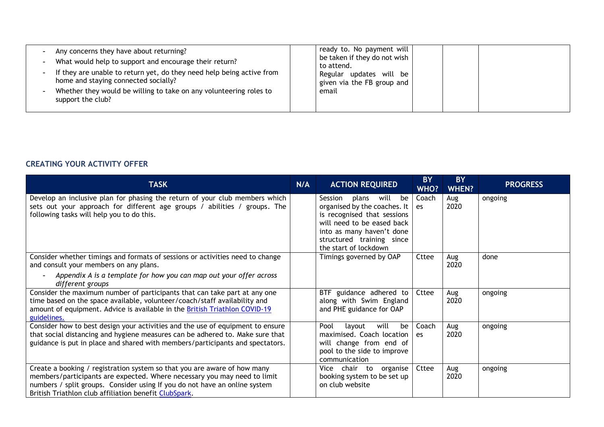| Any concerns they have about returning?<br>What would help to support and encourage their return?<br>$\overline{\phantom{a}}$<br>If they are unable to return yet, do they need help being active from<br>home and staying connected socially?<br>Whether they would be willing to take on any volunteering roles to<br>support the club? | ready to. No payment will<br>be taken if they do not wish<br>to attend.<br>Regular updates will be<br>given via the FB group and<br>email |
|-------------------------------------------------------------------------------------------------------------------------------------------------------------------------------------------------------------------------------------------------------------------------------------------------------------------------------------------|-------------------------------------------------------------------------------------------------------------------------------------------|
|-------------------------------------------------------------------------------------------------------------------------------------------------------------------------------------------------------------------------------------------------------------------------------------------------------------------------------------------|-------------------------------------------------------------------------------------------------------------------------------------------|

## **CREATING YOUR ACTIVITY OFFER**

| <b>TASK</b>                                                                                                                                                                                                                                                                                 | N/A | <b>ACTION REQUIRED</b>                                                                                                                                                                                      | <b>BY</b><br>WHO? | <b>BY</b><br><b>WHEN?</b> | <b>PROGRESS</b> |
|---------------------------------------------------------------------------------------------------------------------------------------------------------------------------------------------------------------------------------------------------------------------------------------------|-----|-------------------------------------------------------------------------------------------------------------------------------------------------------------------------------------------------------------|-------------------|---------------------------|-----------------|
| Develop an inclusive plan for phasing the return of your club members which<br>sets out your approach for different age groups / abilities / groups. The<br>following tasks will help you to do this.                                                                                       |     | plans will<br>be<br>Session<br>organised by the coaches. It<br>is recognised that sessions<br>will need to be eased back<br>into as many haven't done<br>structured training since<br>the start of lockdown | Coach<br>es       | Aug<br>2020               | ongoing         |
| Consider whether timings and formats of sessions or activities need to change<br>and consult your members on any plans.<br>Appendix A is a template for how you can map out your offer across<br>different groups                                                                           |     | Timings governed by OAP                                                                                                                                                                                     | Cttee             | Aug<br>2020               | done            |
| Consider the maximum number of participants that can take part at any one<br>time based on the space available, volunteer/coach/staff availability and<br>amount of equipment. Advice is available in the <b>British Triathlon COVID-19</b><br>guidelines.                                  |     | BTF guidance adhered to<br>along with Swim England<br>and PHE guidance for OAP                                                                                                                              | Cttee             | Aug<br>2020               | ongoing         |
| Consider how to best design your activities and the use of equipment to ensure<br>that social distancing and hygiene measures can be adhered to. Make sure that<br>guidance is put in place and shared with members/participants and spectators.                                            |     | will<br>Pool<br>layout<br>be<br>maximised. Coach location<br>will change from end of<br>pool to the side to improve<br>communication                                                                        | Coach<br>es       | Aug<br>2020               | ongoing         |
| Create a booking / registration system so that you are aware of how many<br>members/participants are expected. Where necessary you may need to limit<br>numbers / split groups. Consider using If you do not have an online system<br>British Triathlon club affiliation benefit ClubSpark. |     | organise<br>Vice chair to<br>booking system to be set up<br>on club website                                                                                                                                 | Cttee             | Aug<br>2020               | ongoing         |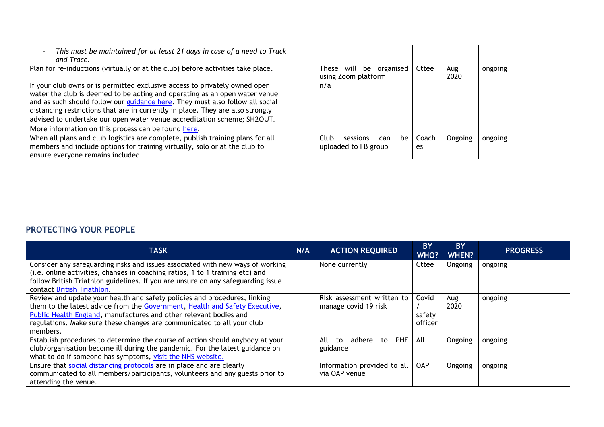| This must be maintained for at least 21 days in case of a need to Track<br>and Trace.                                                                                                                                                                                                                                                                                                                                                                         |       |                                                |     |      |             |             |         |
|---------------------------------------------------------------------------------------------------------------------------------------------------------------------------------------------------------------------------------------------------------------------------------------------------------------------------------------------------------------------------------------------------------------------------------------------------------------|-------|------------------------------------------------|-----|------|-------------|-------------|---------|
| Plan for re-inductions (virtually or at the club) before activities take place.                                                                                                                                                                                                                                                                                                                                                                               |       | These will be organised<br>using Zoom platform |     |      | Cttee       | Aug<br>2020 | ongoing |
| If your club owns or is permitted exclusive access to privately owned open<br>water the club is deemed to be acting and operating as an open water venue<br>and as such should follow our guidance here. They must also follow all social<br>distancing restrictions that are in currently in place. They are also strongly<br>advised to undertake our open water venue accreditation scheme; SH2OUT.<br>More information on this process can be found here. | n/a   |                                                |     |      |             |             |         |
| When all plans and club logistics are complete, publish training plans for all<br>members and include options for training virtually, solo or at the club to<br>ensure everyone remains included                                                                                                                                                                                                                                                              | Club. | sessions<br>uploaded to FB group               | can | be l | Coach<br>es | Ongoing     | ongoing |

### **PROTECTING YOUR PEOPLE**

| <b>TASK</b>                                                                                                                                                                                                                                                                                                         | N/A | <b>ACTION REQUIRED</b>                              | <b>BY</b><br>WHO?          | <b>BY</b><br><b>WHEN?</b> | <b>PROGRESS</b> |
|---------------------------------------------------------------------------------------------------------------------------------------------------------------------------------------------------------------------------------------------------------------------------------------------------------------------|-----|-----------------------------------------------------|----------------------------|---------------------------|-----------------|
| Consider any safeguarding risks and issues associated with new ways of working<br>(i.e. online activities, changes in coaching ratios, 1 to 1 training etc) and<br>follow British Triathlon guidelines. If you are unsure on any safeguarding issue<br>contact British Triathlon.                                   |     | None currently                                      | Cttee                      | Ongoing                   | ongoing         |
| Review and update your health and safety policies and procedures, linking<br>them to the latest advice from the Government, Health and Safety Executive,<br>Public Health England, manufactures and other relevant bodies and<br>regulations. Make sure these changes are communicated to all your club<br>members. |     | Risk assessment written to<br>manage covid 19 risk  | Covid<br>safety<br>officer | Aug<br>2020               | ongoing         |
| Establish procedures to determine the course of action should anybody at your<br>club/organisation become ill during the pandemic. For the latest guidance on<br>what to do if someone has symptoms, visit the NHS website.                                                                                         |     | <b>PHE</b><br>adhere<br>All<br>to<br>to<br>guidance | All                        | Ongoing                   | ongoing         |
| Ensure that social distancing protocols are in place and are clearly<br>communicated to all members/participants, volunteers and any guests prior to<br>attending the venue.                                                                                                                                        |     | Information provided to all<br>via OAP venue        | <b>OAP</b>                 | Ongoing                   | ongoing         |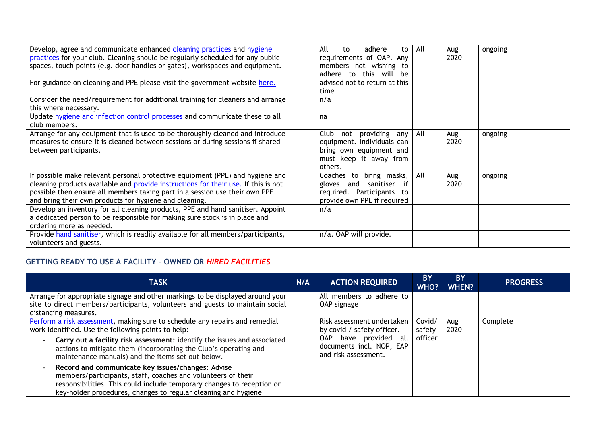| Develop, agree and communicate enhanced cleaning practices and hygiene             | All<br>adhere<br>to<br>to       | All | Aug  | ongoing |
|------------------------------------------------------------------------------------|---------------------------------|-----|------|---------|
| practices for your club. Cleaning should be regularly scheduled for any public     | requirements of OAP. Any        |     | 2020 |         |
| spaces, touch points (e.g. door handles or gates), workspaces and equipment.       | members not wishing to          |     |      |         |
|                                                                                    | adhere to this will be          |     |      |         |
| For guidance on cleaning and PPE please visit the government website here.         | advised not to return at this   |     |      |         |
|                                                                                    | time                            |     |      |         |
| Consider the need/requirement for additional training for cleaners and arrange     | n/a                             |     |      |         |
| this where necessary.                                                              |                                 |     |      |         |
| Update hygiene and infection control processes and communicate these to all        | na                              |     |      |         |
| club members.                                                                      |                                 |     |      |         |
| Arrange for any equipment that is used to be thoroughly cleaned and introduce      | Club<br>providing<br>not<br>any | All | Aug  | ongoing |
| measures to ensure it is cleaned between sessions or during sessions if shared     | equipment. Individuals can      |     | 2020 |         |
| between participants,                                                              | bring own equipment and         |     |      |         |
|                                                                                    | must keep it away from          |     |      |         |
|                                                                                    | others.                         |     |      |         |
| If possible make relevant personal protective equipment (PPE) and hygiene and      | bring masks,<br>Coaches<br>to   | All | Aug  | ongoing |
| cleaning products available and provide instructions for their use. If this is not | gloves and sanitiser<br>if      |     | 2020 |         |
| possible then ensure all members taking part in a session use their own PPE        | required. Participants to       |     |      |         |
| and bring their own products for hygiene and cleaning.                             | provide own PPE if required     |     |      |         |
| Develop an inventory for all cleaning products, PPE and hand sanitiser. Appoint    | n/a                             |     |      |         |
| a dedicated person to be responsible for making sure stock is in place and         |                                 |     |      |         |
| ordering more as needed.                                                           |                                 |     |      |         |
| Provide hand sanitiser, which is readily available for all members/participants,   | n/a. OAP will provide.          |     |      |         |
| volunteers and guests.                                                             |                                 |     |      |         |

### **GETTING READY TO USE A FACILITY – OWNED OR** *HIRED FACILITIES*

| <b>TASK</b>                                                                                                                                                                                                                                                                                                                                                        | N/A | <b>ACTION REQUIRED</b>                                                                                                                     | <b>BY</b><br><b>WHO?</b>    | <b>BY</b><br><b>WHEN?</b> | <b>PROGRESS</b> |
|--------------------------------------------------------------------------------------------------------------------------------------------------------------------------------------------------------------------------------------------------------------------------------------------------------------------------------------------------------------------|-----|--------------------------------------------------------------------------------------------------------------------------------------------|-----------------------------|---------------------------|-----------------|
| Arrange for appropriate signage and other markings to be displayed around your<br>site to direct members/participants, volunteers and guests to maintain social<br>distancing measures.                                                                                                                                                                            |     | All members to adhere to<br>OAP signage                                                                                                    |                             |                           |                 |
| Perform a risk assessment, making sure to schedule any repairs and remedial<br>work identified. Use the following points to help:<br>Carry out a facility risk assessment: identify the issues and associated<br>$\overline{\phantom{a}}$<br>actions to mitigate them (incorporating the Club's operating and<br>maintenance manuals) and the items set out below. |     | Risk assessment undertaken<br>by covid / safety officer.<br>have provided all<br>OAP .<br>documents incl. NOP, EAP<br>and risk assessment. | Covid/<br>safety<br>officer | Aug<br>2020               | Complete        |
| Record and communicate key issues/changes: Advise<br>$\overline{\phantom{a}}$<br>members/participants, staff, coaches and volunteers of their<br>responsibilities. This could include temporary changes to reception or<br>key-holder procedures, changes to regular cleaning and hygiene                                                                          |     |                                                                                                                                            |                             |                           |                 |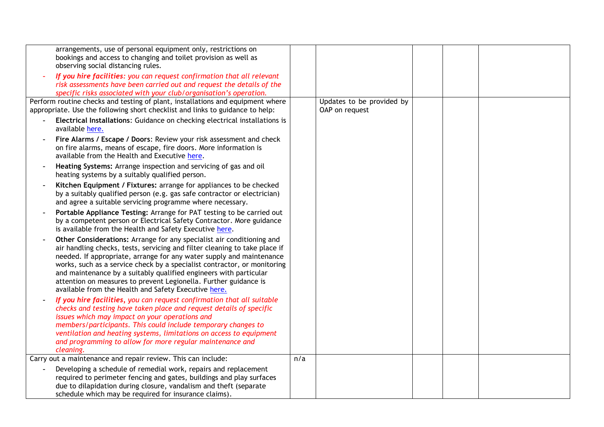| arrangements, use of personal equipment only, restrictions on<br>bookings and access to changing and toilet provision as well as<br>observing social distancing rules.                                                                                                                                                                                                                                                                                                                                   |     |                                             |  |  |
|----------------------------------------------------------------------------------------------------------------------------------------------------------------------------------------------------------------------------------------------------------------------------------------------------------------------------------------------------------------------------------------------------------------------------------------------------------------------------------------------------------|-----|---------------------------------------------|--|--|
| If you hire facilities: you can request confirmation that all relevant<br>risk assessments have been carried out and request the details of the<br>specific risks associated with your club/organisation's operation.                                                                                                                                                                                                                                                                                    |     |                                             |  |  |
| Perform routine checks and testing of plant, installations and equipment where<br>appropriate. Use the following short checklist and links to guidance to help:                                                                                                                                                                                                                                                                                                                                          |     | Updates to be provided by<br>OAP on request |  |  |
| Electrical Installations: Guidance on checking electrical installations is<br>available here.                                                                                                                                                                                                                                                                                                                                                                                                            |     |                                             |  |  |
| Fire Alarms / Escape / Doors: Review your risk assessment and check<br>on fire alarms, means of escape, fire doors. More information is<br>available from the Health and Executive here.                                                                                                                                                                                                                                                                                                                 |     |                                             |  |  |
| Heating Systems: Arrange inspection and servicing of gas and oil<br>heating systems by a suitably qualified person.                                                                                                                                                                                                                                                                                                                                                                                      |     |                                             |  |  |
| Kitchen Equipment / Fixtures: arrange for appliances to be checked<br>by a suitably qualified person (e.g. gas safe contractor or electrician)<br>and agree a suitable servicing programme where necessary.                                                                                                                                                                                                                                                                                              |     |                                             |  |  |
| Portable Appliance Testing: Arrange for PAT testing to be carried out<br>by a competent person or Electrical Safety Contractor. More guidance<br>is available from the Health and Safety Executive here.                                                                                                                                                                                                                                                                                                 |     |                                             |  |  |
| Other Considerations: Arrange for any specialist air conditioning and<br>air handling checks, tests, servicing and filter cleaning to take place if<br>needed. If appropriate, arrange for any water supply and maintenance<br>works, such as a service check by a specialist contractor, or monitoring<br>and maintenance by a suitably qualified engineers with particular<br>attention on measures to prevent Legionella. Further guidance is<br>available from the Health and Safety Executive here. |     |                                             |  |  |
| If you hire facilities, you can request confirmation that all suitable<br>checks and testing have taken place and request details of specific<br>issues which may impact on your operations and<br>members/participants. This could include temporary changes to<br>ventilation and heating systems, limitations on access to equipment<br>and programming to allow for more regular maintenance and<br>cleaning.                                                                                        |     |                                             |  |  |
| Carry out a maintenance and repair review. This can include:                                                                                                                                                                                                                                                                                                                                                                                                                                             | n/a |                                             |  |  |
| Developing a schedule of remedial work, repairs and replacement<br>required to perimeter fencing and gates, buildings and play surfaces<br>due to dilapidation during closure, vandalism and theft (separate<br>schedule which may be required for insurance claims).                                                                                                                                                                                                                                    |     |                                             |  |  |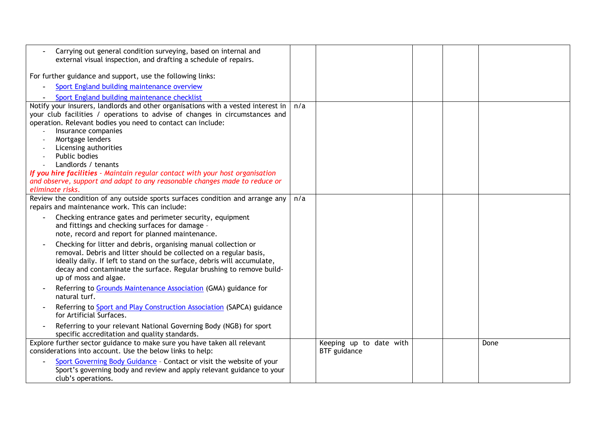| Carrying out general condition surveying, based on internal and<br>external visual inspection, and drafting a schedule of repairs.                                                                                                                                                                                |     |                                         |  |      |
|-------------------------------------------------------------------------------------------------------------------------------------------------------------------------------------------------------------------------------------------------------------------------------------------------------------------|-----|-----------------------------------------|--|------|
| For further guidance and support, use the following links:                                                                                                                                                                                                                                                        |     |                                         |  |      |
| Sport England building maintenance overview                                                                                                                                                                                                                                                                       |     |                                         |  |      |
| Sport England building maintenance checklist                                                                                                                                                                                                                                                                      |     |                                         |  |      |
| Notify your insurers, landlords and other organisations with a vested interest in                                                                                                                                                                                                                                 | n/a |                                         |  |      |
| your club facilities / operations to advise of changes in circumstances and                                                                                                                                                                                                                                       |     |                                         |  |      |
| operation. Relevant bodies you need to contact can include:                                                                                                                                                                                                                                                       |     |                                         |  |      |
| Insurance companies<br>Mortgage lenders                                                                                                                                                                                                                                                                           |     |                                         |  |      |
| Licensing authorities                                                                                                                                                                                                                                                                                             |     |                                         |  |      |
| Public bodies                                                                                                                                                                                                                                                                                                     |     |                                         |  |      |
| Landlords / tenants                                                                                                                                                                                                                                                                                               |     |                                         |  |      |
| If you hire facilities - Maintain regular contact with your host organisation                                                                                                                                                                                                                                     |     |                                         |  |      |
| and observe, support and adapt to any reasonable changes made to reduce or                                                                                                                                                                                                                                        |     |                                         |  |      |
| eliminate risks.                                                                                                                                                                                                                                                                                                  |     |                                         |  |      |
| Review the condition of any outside sports surfaces condition and arrange any                                                                                                                                                                                                                                     | n/a |                                         |  |      |
| repairs and maintenance work. This can include:                                                                                                                                                                                                                                                                   |     |                                         |  |      |
| Checking entrance gates and perimeter security, equipment<br>and fittings and checking surfaces for damage -<br>note, record and report for planned maintenance.                                                                                                                                                  |     |                                         |  |      |
| Checking for litter and debris, organising manual collection or<br>removal. Debris and litter should be collected on a regular basis,<br>ideally daily. If left to stand on the surface, debris will accumulate,<br>decay and contaminate the surface. Regular brushing to remove build-<br>up of moss and algae. |     |                                         |  |      |
| Referring to Grounds Maintenance Association (GMA) guidance for<br>natural turf.                                                                                                                                                                                                                                  |     |                                         |  |      |
| Referring to <b>Sport and Play Construction Association</b> (SAPCA) guidance<br>for Artificial Surfaces.                                                                                                                                                                                                          |     |                                         |  |      |
| Referring to your relevant National Governing Body (NGB) for sport<br>specific accreditation and quality standards.                                                                                                                                                                                               |     |                                         |  |      |
| Explore further sector guidance to make sure you have taken all relevant<br>considerations into account. Use the below links to help:                                                                                                                                                                             |     | Keeping up to date with<br>BTF guidance |  | Done |
| Sport Governing Body Guidance - Contact or visit the website of your<br>Sport's governing body and review and apply relevant guidance to your<br>club's operations.                                                                                                                                               |     |                                         |  |      |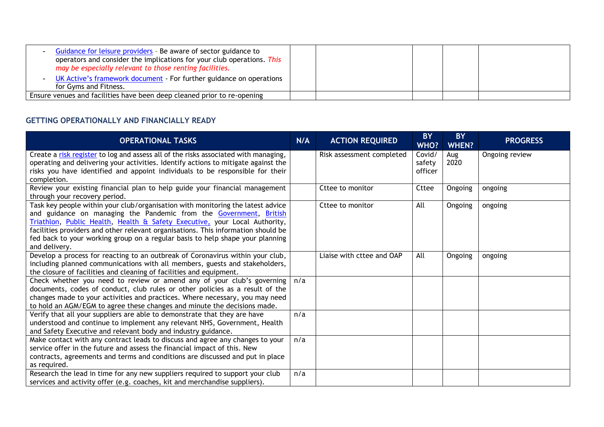| Guidance for leisure providers - Be aware of sector guidance to<br>operators and consider the implications for your club operations. This<br>may be especially relevant to those renting facilities. |  |  |
|------------------------------------------------------------------------------------------------------------------------------------------------------------------------------------------------------|--|--|
| UK Active's framework document - For further guidance on operations<br>for Gyms and Fitness.                                                                                                         |  |  |
| Ensure venues and facilities have been deep cleaned prior to re-opening                                                                                                                              |  |  |

#### **GETTING OPERATIONALLY AND FINANCIALLY READY**

| <b>OPERATIONAL TASKS</b>                                                                                                                                                                                                                                                                                                                                                                                                   | N/A | <b>ACTION REQUIRED</b>    | <b>BY</b><br>WHO?           | <b>BY</b><br><b>WHEN?</b> | <b>PROGRESS</b> |
|----------------------------------------------------------------------------------------------------------------------------------------------------------------------------------------------------------------------------------------------------------------------------------------------------------------------------------------------------------------------------------------------------------------------------|-----|---------------------------|-----------------------------|---------------------------|-----------------|
| Create a risk register to log and assess all of the risks associated with managing,<br>operating and delivering your activities. Identify actions to mitigate against the<br>risks you have identified and appoint individuals to be responsible for their<br>completion.                                                                                                                                                  |     | Risk assessment completed | Covid/<br>safety<br>officer | Aug<br>2020               | Ongoing review  |
| Review your existing financial plan to help guide your financial management<br>through your recovery period.                                                                                                                                                                                                                                                                                                               |     | Cttee to monitor          | Cttee                       | Ongoing                   | ongoing         |
| Task key people within your club/organisation with monitoring the latest advice<br>and guidance on managing the Pandemic from the Government, British<br>Triathlon, Public Health, Health & Safety Executive, your Local Authority,<br>facilities providers and other relevant organisations. This information should be<br>fed back to your working group on a regular basis to help shape your planning<br>and delivery. |     | Cttee to monitor          | All                         | Ongoing                   | ongoing         |
| Develop a process for reacting to an outbreak of Coronavirus within your club,<br>including planned communications with all members, guests and stakeholders,<br>the closure of facilities and cleaning of facilities and equipment.                                                                                                                                                                                       |     | Liaise with cttee and OAP | All                         | Ongoing                   | ongoing         |
| Check whether you need to review or amend any of your club's governing<br>documents, codes of conduct, club rules or other policies as a result of the<br>changes made to your activities and practices. Where necessary, you may need<br>to hold an AGM/EGM to agree these changes and minute the decisions made.                                                                                                         | n/a |                           |                             |                           |                 |
| Verify that all your suppliers are able to demonstrate that they are have<br>understood and continue to implement any relevant NHS, Government, Health<br>and Safety Executive and relevant body and industry guidance.                                                                                                                                                                                                    | n/a |                           |                             |                           |                 |
| Make contact with any contract leads to discuss and agree any changes to your<br>service offer in the future and assess the financial impact of this. New<br>contracts, agreements and terms and conditions are discussed and put in place<br>as required.                                                                                                                                                                 | n/a |                           |                             |                           |                 |
| Research the lead in time for any new suppliers required to support your club<br>services and activity offer (e.g. coaches, kit and merchandise suppliers).                                                                                                                                                                                                                                                                | n/a |                           |                             |                           |                 |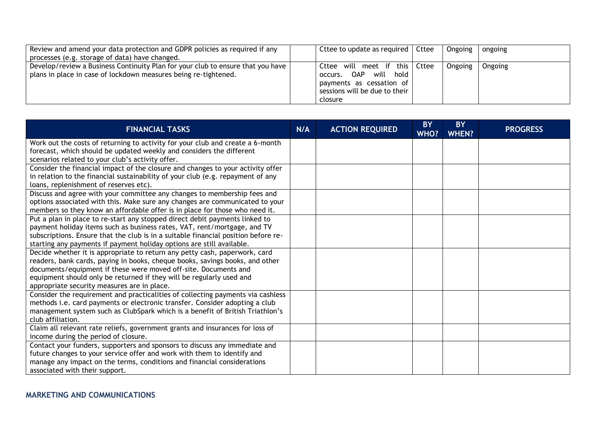| Review and amend your data protection and GDPR policies as required if any<br>processes (e.g. storage of data) have changed.                       | Cttee to update as required   Cttee                                                                                                 | Ongoing | ongoing |
|----------------------------------------------------------------------------------------------------------------------------------------------------|-------------------------------------------------------------------------------------------------------------------------------------|---------|---------|
| Develop/review a Business Continuity Plan for your club to ensure that you have<br>plans in place in case of lockdown measures being re-tightened. | Cttee will meet if this Cttee<br>OAP will hold<br>occurs.<br>payments as cessation of<br>sessions will be due to their  <br>closure | Ongoing | Ongoing |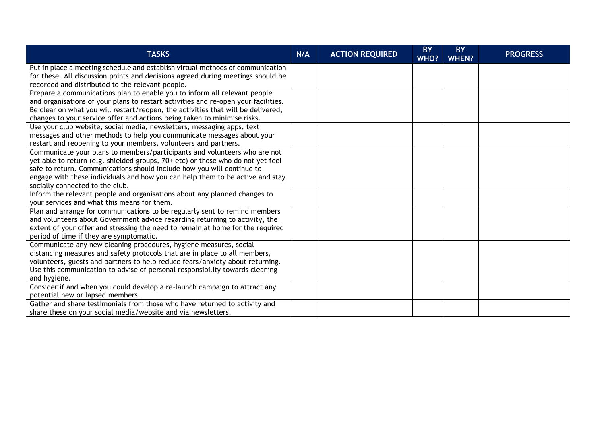| <b>TASKS</b>                                                                       | N/A | <b>ACTION REQUIRED</b> | <b>BY</b><br>WHO? | <b>BY</b><br><b>WHEN?</b> | <b>PROGRESS</b> |
|------------------------------------------------------------------------------------|-----|------------------------|-------------------|---------------------------|-----------------|
| Put in place a meeting schedule and establish virtual methods of communication     |     |                        |                   |                           |                 |
| for these. All discussion points and decisions agreed during meetings should be    |     |                        |                   |                           |                 |
| recorded and distributed to the relevant people.                                   |     |                        |                   |                           |                 |
| Prepare a communications plan to enable you to inform all relevant people          |     |                        |                   |                           |                 |
| and organisations of your plans to restart activities and re-open your facilities. |     |                        |                   |                           |                 |
| Be clear on what you will restart/reopen, the activities that will be delivered,   |     |                        |                   |                           |                 |
| changes to your service offer and actions being taken to minimise risks.           |     |                        |                   |                           |                 |
| Use your club website, social media, newsletters, messaging apps, text             |     |                        |                   |                           |                 |
| messages and other methods to help you communicate messages about your             |     |                        |                   |                           |                 |
| restart and reopening to your members, volunteers and partners.                    |     |                        |                   |                           |                 |
| Communicate your plans to members/participants and volunteers who are not          |     |                        |                   |                           |                 |
| yet able to return (e.g. shielded groups, 70+ etc) or those who do not yet feel    |     |                        |                   |                           |                 |
| safe to return. Communications should include how you will continue to             |     |                        |                   |                           |                 |
| engage with these individuals and how you can help them to be active and stay      |     |                        |                   |                           |                 |
| socially connected to the club.                                                    |     |                        |                   |                           |                 |
| Inform the relevant people and organisations about any planned changes to          |     |                        |                   |                           |                 |
| your services and what this means for them.                                        |     |                        |                   |                           |                 |
| Plan and arrange for communications to be regularly sent to remind members         |     |                        |                   |                           |                 |
| and volunteers about Government advice regarding returning to activity, the        |     |                        |                   |                           |                 |
| extent of your offer and stressing the need to remain at home for the required     |     |                        |                   |                           |                 |
| period of time if they are symptomatic.                                            |     |                        |                   |                           |                 |
| Communicate any new cleaning procedures, hygiene measures, social                  |     |                        |                   |                           |                 |
| distancing measures and safety protocols that are in place to all members,         |     |                        |                   |                           |                 |
| volunteers, guests and partners to help reduce fears/anxiety about returning.      |     |                        |                   |                           |                 |
| Use this communication to advise of personal responsibility towards cleaning       |     |                        |                   |                           |                 |
| and hygiene.                                                                       |     |                        |                   |                           |                 |
| Consider if and when you could develop a re-launch campaign to attract any         |     |                        |                   |                           |                 |
| potential new or lapsed members.                                                   |     |                        |                   |                           |                 |
| Gather and share testimonials from those who have returned to activity and         |     |                        |                   |                           |                 |
| share these on your social media/website and via newsletters.                      |     |                        |                   |                           |                 |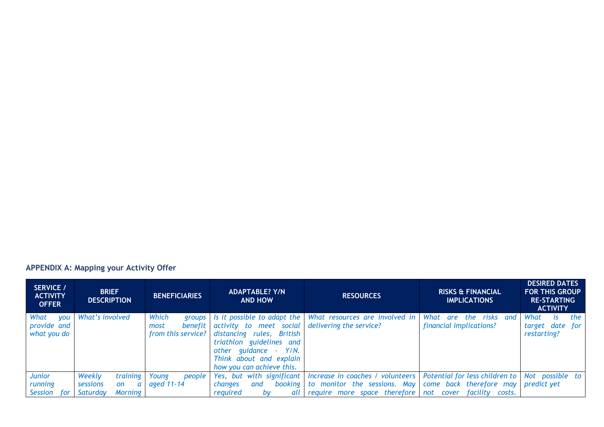# **APPENDIX A: Mapping your Activity Offer**

| SERVICE /<br><b>ACTIVITY</b><br><b>OFFER</b>     | <b>BRIEF</b><br><b>DESCRIPTION</b> | <b>BENEFICIARIES</b>                                     | <b>ADAPTABLE? Y/N</b><br><b>AND HOW</b>                                                                                                                                                          | <b>RESOURCES</b>                                          | <b>RISKS &amp; FINANCIAL</b><br><b>IMPLICATIONS</b>  | <b>DESIRED DATES</b><br><b>FOR THIS GROUP</b><br><b>RE-STARTING</b><br><b>ACTIVITY</b> |
|--------------------------------------------------|------------------------------------|----------------------------------------------------------|--------------------------------------------------------------------------------------------------------------------------------------------------------------------------------------------------|-----------------------------------------------------------|------------------------------------------------------|----------------------------------------------------------------------------------------|
| What<br><b>VOU</b><br>provide and<br>what you do | What's involved                    | Which<br>groups<br>benefit<br>most<br>from this service? | Is it possible to adapt the<br>activity to meet social<br>distancing rules, British<br>triathlon guidelines and<br>other guidance - Y/N.<br>Think about and explain<br>how you can achieve this. | What resources are involved in<br>delivering the service? | What are<br>the risks and<br>financial implications? | the<br>What<br>İS.<br>target date for<br>restarting?                                   |
| <b>Junior</b>                                    | training<br>Weekly                 | Young<br>people                                          | Yes, but with significant                                                                                                                                                                        | Increase in coaches / volunteers                          | Potential for less children to                       | Not possible to                                                                        |
| running                                          | sessions<br>on<br>a                | aged 11-14                                               | booking<br><i>changes</i><br>and                                                                                                                                                                 | to monitor the sessions. May come back therefore may      |                                                      | predict vet                                                                            |
| Session<br>tor                                   | Saturdav<br><b>Morning</b>         |                                                          | reauired<br>bv<br>all                                                                                                                                                                            | require more space therefore not cover facility costs.    |                                                      |                                                                                        |